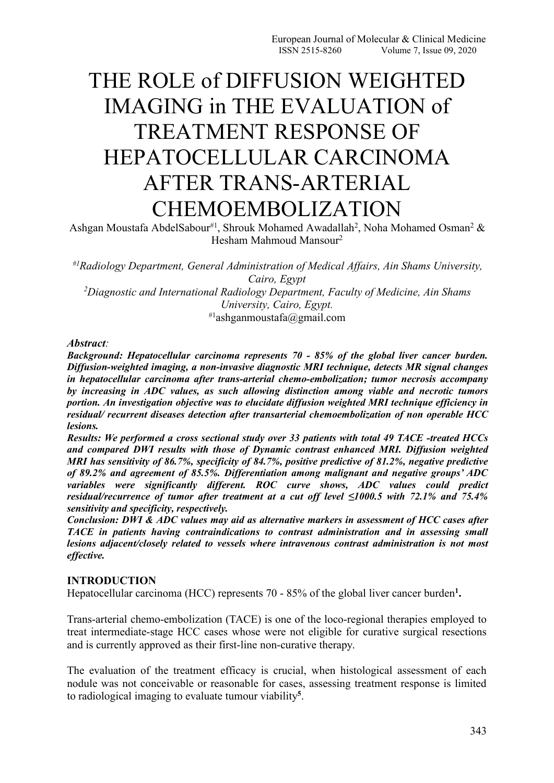# THE ROLE of DIFFUSION WEIGHTED IMAGING in THE EVALUATION of TREATMENT RESPONSE OF HEPATOCELLULAR CARCINOMA AFTER TRANS-ARTERIAL CHEMOEMBOLIZATION

Ashgan Moustafa AbdelSabour#1, Shrouk Mohamed Awadallah<sup>2</sup>, Noha Mohamed Osman<sup>2</sup> &  $2 \&$ Hesham Mahmoud Mansour 2

*#1Radiology Department, General Administration of Medical Af airs, Ain Shams University, Cairo, Egypt*

*<sup>2</sup>Diagnostic and International Radiology Department, Faculty of Medicine, Ain Shams University, Cairo, Egypt.* #1ashganmoustafa@gmail.com

*Abstract:*

*Background: Hepatocellular carcinoma represents 70 - 85% of the global liver cancer burden. Dif usion-weighted imaging, a non-invasive diagnostic MRI technique, detects MR signal changes in hepatocellular carcinoma after trans-arterial chemo-embolization; tumor necrosis accompany by increasing in ADC values, as such allowing distinction among viable and necrotic tumors portion. An investigation objective was to elucidate dif usion weighted MRI technique efficiency in residual/ recurrent diseases detection after transarterial chemoembolization of non operable HCC lesions.*

*Results: We performed a cross sectional study over 33 patients with total 49 TACE -treated HCCs and compared DWI results with those of Dynamic contrast enhanced MRI. Dif usion weighted MRI has sensitivity of 86.7%, specificity of 84.7%, positive predictive of 81.2%, negative predictive of 89.2% and agreement of 85.5%.Dif erentiation among malignant and negative groups' ADC variables were significantly diferent. ROC curve shows, ADC values could predict residual/recurrence of tumor after treatment at a cut off level ≤1000.5 with 72.1% and 75.4% sensitivity and specificity, respectively.*

*Conclusion: DWI & ADC values may aid as alternative markers in assessment of HCC cases after TACE in patients having contraindications to contrast administration and in assessing small lesions adjacent/closely related to vessels where intravenous contrast administration is not most effective.*

## **INTRODUCTION**

Hepatocellular carcinoma (HCC) represents 70 - 85% of the global liver cancer burden<sup>1</sup>. **.**

Trans-arterial chemo-embolization (TACE) is one of the loco-regional therapies employed to treat intermediate-stage HCC cases whose were not eligible for curative surgical resections and is currently approved as their first-line non-curative therapy.

The evaluation of the treatment efficacy is crucial, when histological assessment of each nodule was not conceivable or reasonable for cases, assessing treatment response is limited to radiological imaging to evaluate tumour viability **5** .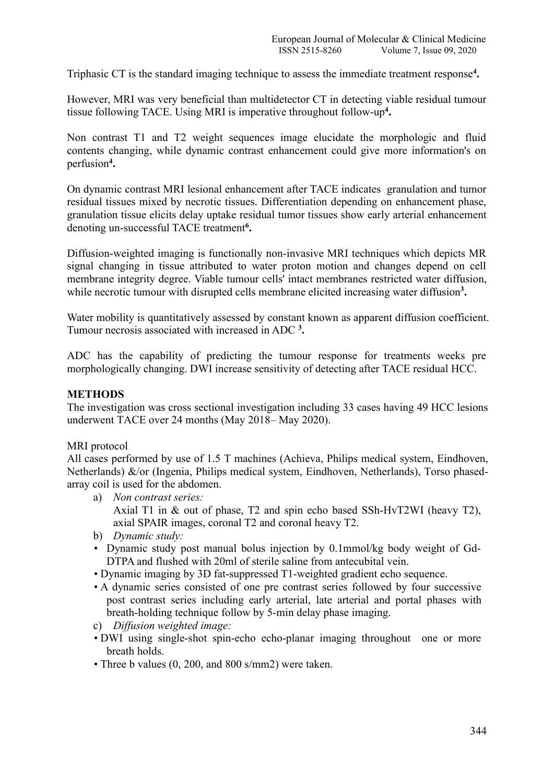Triphasic CT is the standard imaging technique to assess the immediate treatment response **4 .**

However, MRI was very beneficial than multidetector CT in detecting viable residual tumour tissue following TACE. Using MRI is imperative throughout follow-up **4 .**

Non contrast T1 and T2 weight sequences image elucidate the morphologic and fluid contents changing, while dynamic contrast enhancement could give more information's on perfusion **4 .**

On dynamic contrast MRI lesional enhancement after TACE indicates granulation and tumor residual tissues mixed by necrotic tissues. Differentiation depending on enhancement phase, granulation tissue elicits delay uptake residual tumor tissues show early arterial enhancement denoting un-successful TACE treatment**<sup>6</sup> .**

Diffusion-weighted imaging is functionally non-invasive MRI techniques which depicts MR signal changing in tissue attributed to water proton motion and changes depend on cell membrane integrity degree. Viable tumour cells' intact membranes restricted water diffusion, while necrotic tumour with disrupted cells membrane elicited increasing water diffusion<sup>3</sup>. **.**

Water mobility is quantitatively assessed by constant known as apparent diffusion coefficient. Tumour necrosis associated with increased in ADC **<sup>3</sup> .**

ADC has the capability of predicting the tumour response for treatments weeks pre morphologically changing. DWI increase sensitivity of detecting after TACE residual HCC.

#### **METHODS**

The investigation was cross sectional investigation including 33 cases having 49 HCC lesions underwent TACE over 24 months (May 2018– May 2020).

#### MRI protocol

All cases performed by use of 1.5 T machines (Achieva, Philips medical system, Eindhoven, Netherlands) &/or (Ingenia, Philips medical system, Eindhoven, Netherlands), Torso phased array coil is used for the abdomen.

- a) *Non contrast series:* Axial T1 in & out of phase, T2 and spin echo based SSh-HvT2WI (heavy T2), axial SPAIR images, coronal T2 and coronal heavy T2.
- b) *Dynamic study:*
- Dynamic study post manual bolus injection by 0.1mmol/kg body weight of Gd- DTPA and flushed with 20ml of sterile saline from antecubital vein.
- Dynamic imaging by 3D fat-suppressed T1-weighted gradient echo sequence.
- A dynamic series consisted of one pre contrast series followed by four successive post contrast series including early arterial, late arterial and portal phases with breath-holding technique follow by 5-min delay phase imaging.
- c) *Dif usion weighted image:*
- DWI using single-shot spin-echo echo-planar imaging throughout one or more breath holds.
- Three b values (0, 200, and 800 s/mm2) were taken.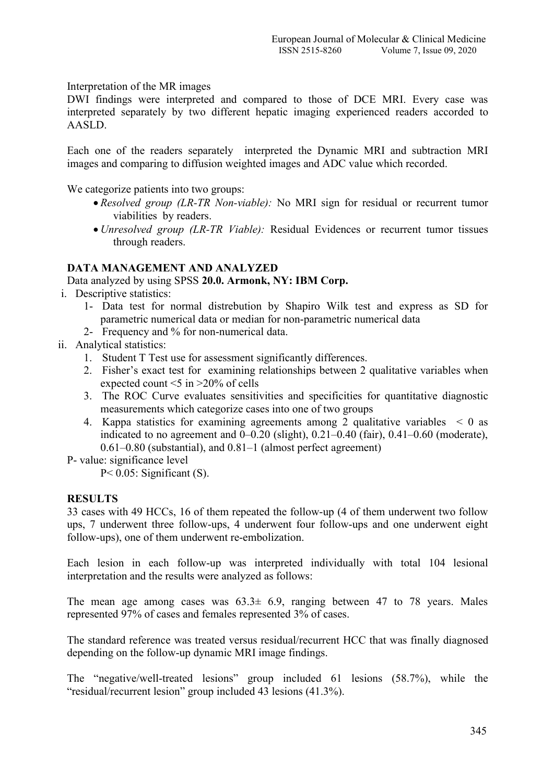Interpretation of the MR images

DWI findings were interpreted and compared to those of DCE MRI. Every case was interpreted separately by two different hepatic imaging experienced readers accorded to AASLD.

Each one of the readers separately interpreted the Dynamic MRI and subtraction MRI images and comparing to diffusion weighted images and ADC value which recorded.

We categorize patients into two groups:

- *Resolved group (LR-TR Non-viable):* No MRI sign for residual or recurrent tumor viabilities by readers.
- *Unresolved group (LR-TR Viable):* Residual Evidences or recurrent tumor tissues through readers.

## **DATA MANAGEMENT AND ANALYZED**

Data analyzed by using SPSS **20.0.Armonk, NY: IBM Corp.**

- i. Descriptive statistics:
	- 1- Data test for normal distrebution by Shapiro Wilk test and express as SD for parametric numerical data or median for non-parametric numerical data
	- 2- Frequency and % for non-numerical data.
- ii. Analytical statistics:
	- 1. Student T Test use for assessment significantly differences.
	- 2. Fisher's exact test for examining relationships between 2 qualitative variables when expected count  $\leq 5$  in  $\geq 20\%$  of cells
	- 3. The ROC Curve evaluates sensitivities and specificities for quantitative diagnostic measurements which categorize cases into one of two groups
	- 4. Kappa statistics for examining agreements among 2 qualitative variables < 0 as indicated to no agreement and 0–0.20 (slight), 0.21–0.40 (fair), 0.41–0.60 (moderate), 0.61–0.80 (substantial), and 0.81–1 (almost perfect agreement)

P- value: significance level

 $P < 0.05$ : Significant (S).

## **RESULTS**

33 cases with 49 HCCs, 16 of them repeated the follow-up (4 of them underwent two follow ups, 7 underwent three follow-ups, 4 underwent four follow-ups and one underwent eight follow-ups), one of them underwent re-embolization.

Each lesion in each follow-up was interpreted individually with total 104 lesional interpretation and the results were analyzed as follows:

The mean age among cases was  $63.3 \pm 6.9$ , ranging between 47 to 78 years. Males represented 97% of cases and females represented 3% of cases.

The standard reference was treated versus residual/recurrent HCC that was finally diagnosed depending on the follow-up dynamic MRI image findings.

The "negative/well-treated lesions" group included 61 lesions (58.7%), while the "residual/recurrent lesion" group included 43 lesions (41.3%).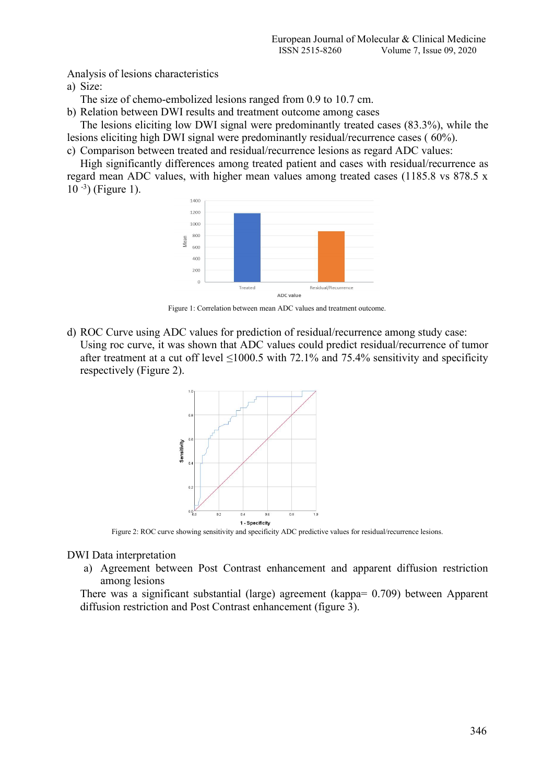Analysis of lesions characteristics

a) Size:

The size of chemo-embolized lesions ranged from 0.9 to 10.7 cm.<br>b) Relation between DWI results and treatment outcome among cases

The lesions eliciting low DWI signal were predominantly treated cases (83.3%), while the lesions eliciting high DWI signal were predominantly residual/recurrence cases ( 60%).

c) Comparison between treated and residual/recurrence lesions as regard ADC values:

High significantly differences among treated patient and cases with residual/recurrence as regard mean ADC values, with higher mean values among treated cases (1185.8 vs 878.5 x 10 -3) (Figure 1).



Figure 1: Correlation between mean ADC values and treatment outcome.

d) ROC Curve using ADC values for prediction of residual/recurrence among study case: Using roc curve, it was shown that ADC values could predict residual/recurrence of tumor after treatment at a cut off level  $\leq 1000.5$  with 72.1% and 75.4% sensitivity and specificity respectively (Figure 2).



Figure 2: ROC curve showing sensitivity and specificity ADC predictive values for residual/recurrence lesions.

DWI Data interpretation

a) Agreement between Post Contrast enhancement and apparent diffusion restriction among lesions

There was a significant substantial (large) agreement (kappa= 0.709) between Apparent diffusion restriction and Post Contrast enhancement (figure 3).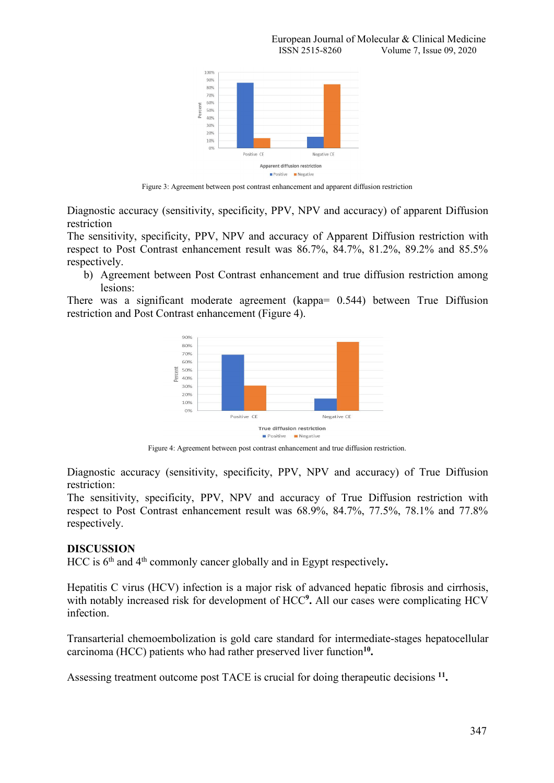

Figure 3: Agreement between post contrast enhancement and apparent diffusion restriction

Diagnostic accuracy (sensitivity, specificity, PPV, NPV and accuracy) of apparent Diffusion restriction

The sensitivity, specificity, PPV, NPV and accuracy of Apparent Diffusion restriction with respect to Post Contrast enhancement result was 86.7%, 84.7%, 81.2%, 89.2% and 85.5% respectively.

b) Agreement between Post Contrast enhancement and true diffusion restriction among lesions:

There was a significant moderate agreement (kappa= 0.544) between True Diffusion restriction and Post Contrast enhancement (Figure 4).



Figure 4: Agreement between post contrast enhancement and true diffusion restriction.

Diagnostic accuracy (sensitivity, specificity, PPV, NPV and accuracy) of True Diffusion restriction:

The sensitivity, specificity, PPV, NPV and accuracy of True Diffusion restriction with respect to Post Contrast enhancement result was 68.9%, 84.7%, 77.5%, 78.1% and 77.8% respectively.

#### **DISCUSSION**

HCC is 6 th and 4 th commonly cancer globally and in Egypt respectively**.**

Hepatitis C virus (HCV) infection is a major risk of advanced hepatic fibrosis and cirrhosis, with notably increased risk for development of HCC **9 .** All our cases were complicating HCV infection.

Transarterial chemoembolization is gold care standard for intermediate-stages hepatocellular carcinoma (HCC) patients who had rather preserved liver function **10 .**

Assessing treatment outcome post TACE is crucial for doing therapeutic decisions <sup>11</sup>.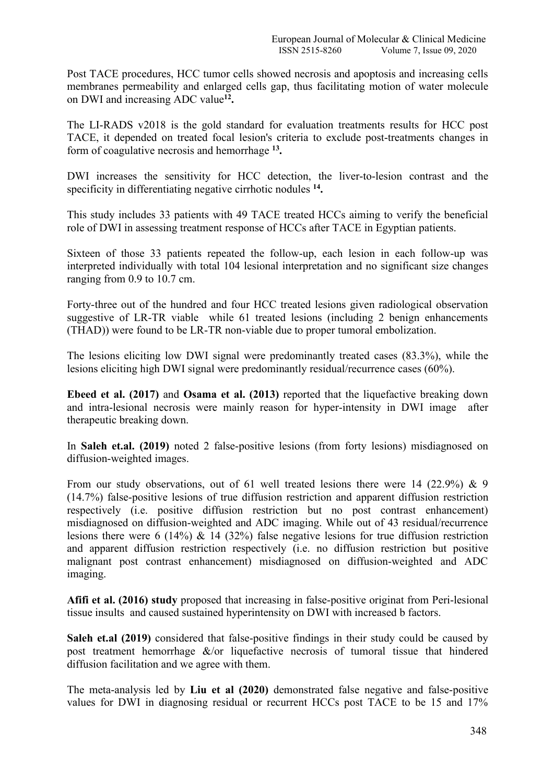Post TACE procedures, HCC tumor cells showed necrosis and apoptosis and increasing cells membranes permeability and enlarged cells gap, thus facilitating motion of water molecule on DWI and increasing ADC value **12 .**

The LI-RADS v2018 is the gold standard for evaluation treatments results for HCC post TACE, it depended on treated focal lesion's criteria to exclude post-treatments changes in form of coagulative necrosis and hemorrhage **13 .**

DWI increases the sensitivity for HCC detection, the liver-to-lesion contrast and the specificity in differentiating negative cirrhotic nodules **14 .**

This study includes 33 patients with 49 TACE treated HCCs aiming to verify the beneficial role of DWI in assessing treatment response of HCCs after TACE in Egyptian patients.

Sixteen of those 33 patients repeated the follow-up, each lesion in each follow-up was interpreted individually with total 104 lesional interpretation and no significant size changes ranging from 0.9 to 10.7 cm.<br>Forty-three out of the hundred and four HCC treated lesions given radiological observation

suggestive of LR-TR viable while 61 treated lesions (including 2 benign enhancements (THAD)) were found to be LR-TR non-viable due to proper tumoral embolization.

The lesions eliciting low DWI signal were predominantly treated cases (83.3%), while the lesions eliciting high DWI signal were predominantly residual/recurrence cases (60%).

**Ebeed et al. (2017)** and **Osama et al. (2013)** reported that the liquefactive breaking down and intra-lesional necrosis were mainly reason for hyper-intensity in DWI image after therapeutic breaking down.

In **Saleh et.al. (2019)** noted 2 false-positive lesions (from forty lesions) misdiagnosed on diffusion-weighted images.

From our study observations, out of 61 well treated lesions there were 14 (22.9%) & 9 (14.7%) false-positive lesions of true diffusion restriction and apparent diffusion restriction respectively (i.e. positive diffusion restriction but no post contrast enhancement) misdiagnosed on diffusion-weighted and ADC imaging. While out of 43 residual/recurrence lesions there were 6 (14%) & 14 (32%) false negative lesions for true diffusion restriction and apparent diffusion restriction respectively (i.e. no diffusion restriction but positive malignant post contrast enhancement) misdiagnosed on diffusion-weighted and ADC imaging.

**Afifi et al. (2016) study** proposed that increasing in false-positive originat from Peri-lesional tissue insults and caused sustained hyperintensity on DWI with increased b factors.

**Saleh et.al (2019)** considered that false-positive findings in their study could be caused by post treatment hemorrhage &/or liquefactive necrosis of tumoral tissue that hindered diffusion facilitation and we agree with them.

The meta-analysis led by **Liu et al (2020)** demonstrated false negative and false-positive values for DWI in diagnosing residual or recurrent HCCs postTACE to be 15 and 17%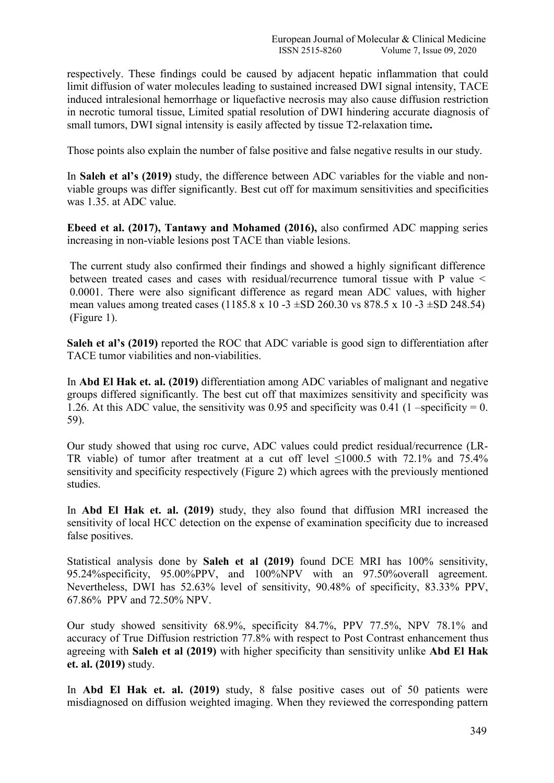respectively. These findings could be caused by adjacent hepatic inflammation that could limit diffusion of water molecules leading to sustained increased DWI signal intensity, TACE induced intralesional hemorrhage or liquefactive necrosis may also cause diffusion restriction in necrotic tumoral tissue, Limited spatial resolution of DWI hindering accurate diagnosis of small tumors, DWI signal intensity is easily affected by tissue T2-relaxation time**.**

Those points also explain the number of false positive and false negative results in our study.

In **Saleh et al's (2019)** study, the difference between ADC variables for the viable and non viable groups was differ significantly. Best cut off for maximum sensitivities and specificities was 1.35. at ADC value.

**Ebeed et al. (2017), Tantawy and Mohamed (2016),** also confirmed ADC mapping series increasing in non-viable lesions post TACE than viable lesions.

The current study also confirmed their findings and showed a highly significant difference between treated cases and cases with residual/recurrence tumoral tissue with P value < 0.0001. There were also significant difference as regard mean ADC values, with higher mean values among treated cases (1185.8 x 10 -3  $\pm$ SD 260.30 vs 878.5 x 10 -3  $\pm$ SD 248.54) (Figure 1).

**Saleh et al's (2019)** reported the ROC that ADC variable is good sign to differentiation after TACE tumor viabilities and non-viabilities.

In **Abd El Hak et. al. (2019)** differentiation among ADC variables ofmalignant and negative groups differed significantly. The best cut off that maximizes sensitivity and specificity was 1.26. At this ADC value, the sensitivity was 0.95 and specificity was 0.41 (1 –specificity = 0. 59).

Our study showed that using roc curve, ADC values could predict residual/recurrence (LR- TR viable) of tumor after treatment at a cut off level <1000.5 with 72.1% and 75.4% sensitivity and specificity respectively (Figure 2) which agrees with the previously mentioned studies.

In **Abd El Hak et. al. (2019)** study, they also found that diffusion MRI increased the sensitivity of local HCC detection on the expense of examination specificity due to increased false positives.

Statistical analysis done by **Saleh et al (2019)** found DCE MRI has 100% sensitivity, 95.24%specificity, 95.00%PPV, and 100%NPV with an 97.50%overall agreement. Nevertheless, DWI has 52.63% level of sensitivity, 90.48% of specificity, 83.33% PPV, 67.86% PPV and 72.50% NPV.

Our study showed sensitivity 68.9%, specificity 84.7%, PPV 77.5%, NPV 78.1% and accuracy of True Diffusion restriction 77.8% with respect to Post Contrast enhancement thus agreeing with **Saleh et al (2019)** with higher specificity than sensitivity unlike **Abd El Hak et. al. (2019)** study.

In **Abd El Hak et. al. (2019)** study, 8 false positive cases out of 50 patients were misdiagnosed on diffusion weighted imaging. When they reviewed the corresponding pattern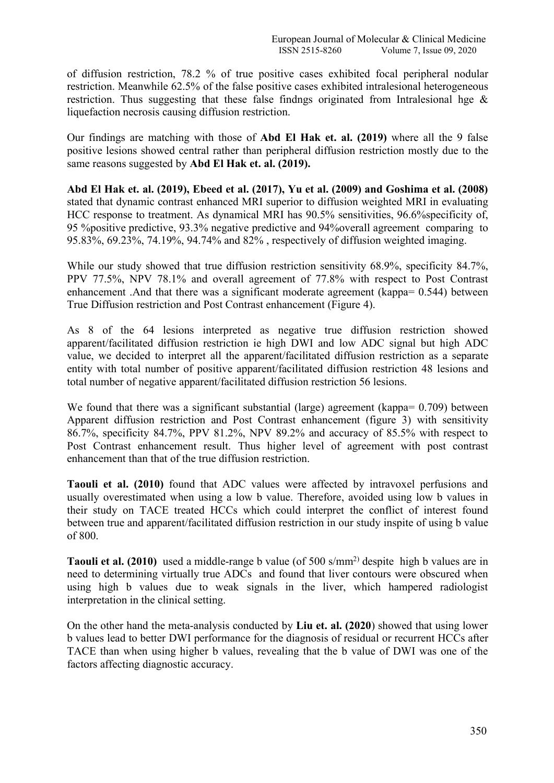of diffusion restriction, 78.2 % of true positive cases exhibited focal peripheral nodular restriction. Meanwhile 62.5% of the false positive cases exhibited intralesional heterogeneous restriction. Thus suggesting that these false findngs originated from Intralesional hge & liquefaction necrosis causing diffusion restriction.

Our findings are matching with those of **Abd El Hak et. al. (2019)** where all the 9 false positive lesions showed central rather than peripheral diffusion restriction mostly due to the same reasons suggested by **Abd El Hak et. al.(2019).**

**Abd El Hak et. al. (2019),Ebeed et al. (2017), Yu et al. (2009) and Goshima et al. (2008)** stated that dynamic contrast enhanced MRI superior to diffusion weighted MRI in evaluating HCC response to treatment. As dynamical MRI has 90.5% sensitivities, 96.6%specificity of, 95 %positive predictive, 93.3% negative predictive and 94%overall agreement comparing to 95.83%, 69.23%, 74.19%, 94.74% and 82% , respectively of diffusion weighted imaging.

While our study showed that true diffusion restriction sensitivity 68.9%, specificity 84.7%, PPV 77.5%, NPV 78.1% and overall agreement of 77.8% with respect to Post Contrast enhancement .And that there was a significant moderate agreement (kappa=  $0.544$ ) between True Diffusion restriction and Post Contrast enhancement (Figure 4).

As 8 of the 64 lesions interpreted as negative true diffusion restriction showed apparent/facilitated diffusion restriction ie high DWI and low ADC signal but high ADC value, we decided to interpret all the apparent/facilitated diffusion restriction as a separate entity with total number of positive apparent/facilitated diffusion restriction 48 lesions and total number of negative apparent/facilitated diffusion restriction 56 lesions.

We found that there was a significant substantial (large) agreement (kappa= 0.709) between Apparent diffusion restriction and Post Contrast enhancement (figure 3) with sensitivity 86.7%, specificity 84.7%, PPV 81.2%, NPV 89.2% and accuracy of 85.5% with respect to Post Contrast enhancement result. Thus higher level of agreement with post contrast enhancement than that of the true diffusion restriction.

**Taouli et al. (2010)** found that ADC values were affected by intravoxel perfusions and usually overestimated when using a low b value. Therefore, avoided using low b values in their study on TACE treated HCCs which could interpret the conflict of interest found between true and apparent/facilitated diffusion restriction in our study inspite of using b value of 800.

**Taouli et al.** (2010) used a middle-range b value (of 500 s/mm<sup>2)</sup> despite high b values are in need to determining virtually true ADCs and found that liver contours were obscured when using high b values due to weak signals in the liver, which hampered radiologist interpretation in the clinical setting.

On the other hand the meta-analysis conducted by **Liu et. al. (2020**) showed that using lower b values lead to better DWI performance for the diagnosis of residual or recurrent HCCs after TACE than when using higher b values, revealing that the b value of DWI was one of the factors affecting diagnostic accuracy.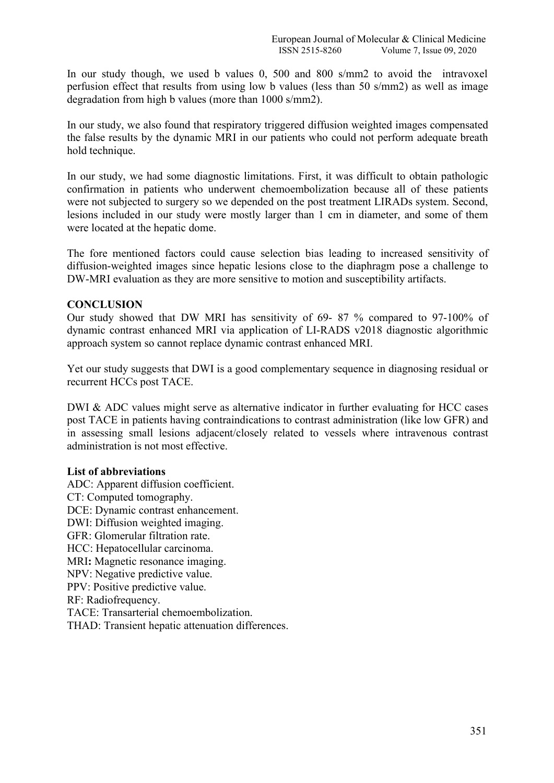In our study though, we used b values 0, 500 and 800 s/mm2 to avoid the intravoxel perfusion effect that results from using low b values (less than 50 s/mm2) as well as image degradation from high b values (more than 1000 s/mm2).

In our study, we also found that respiratory triggered diffusion weighted images compensated the false results by the dynamic MRI in our patients who could not perform adequate breath hold technique.

In our study, we had some diagnostic limitations. First, it was difficult to obtain pathologic confirmation in patients who underwent chemoembolization because all of these patients were not subjected to surgery so we depended on the post treatment LIRADs system. Second, lesions included in our study were mostly larger than 1 cm in diameter, and some of them were located at the hepatic dome.

The fore mentioned factors could cause selection bias leading to increased sensitivity of diffusion-weighted images since hepatic lesions close to the diaphragm pose a challenge to DW-MRI evaluation as they are more sensitive to motion and susceptibility artifacts.

## **CONCLUSION**

Our study showed that DW MRI has sensitivity of 69- 87 % compared to 97-100% of dynamic contrast enhanced MRI via application of LI-RADS v2018 diagnostic algorithmic approach system so cannot replace dynamic contrast enhanced MRI.

Yet our study suggests that DWI is a good complementary sequence in diagnosing residual or recurrent HCCs post TACE.

DWI & ADC values might serve as alternative indicator in further evaluating for HCC cases post TACE in patients having contraindications to contrast administration (like low GFR) and in assessing small lesions adjacent/closely related to vessels where intravenous contrast administration is not most effective.

## **List of abbreviations**

ADC: Apparent diffusion coefficient.<br>CT: Computed tomography. DCE: Dynamic contrast enhancement. DWI: Diffusion weighted imaging. GFR: Glomerular filtration rate. HCC: Hepatocellular carcinoma. MRI**:** Magnetic resonance imaging. NPV: Negative predictive value. PPV: Positive predictive value. RF: Radiofrequency. TACE: Transarterial chemoembolization. THAD: Transient hepatic attenuation differences.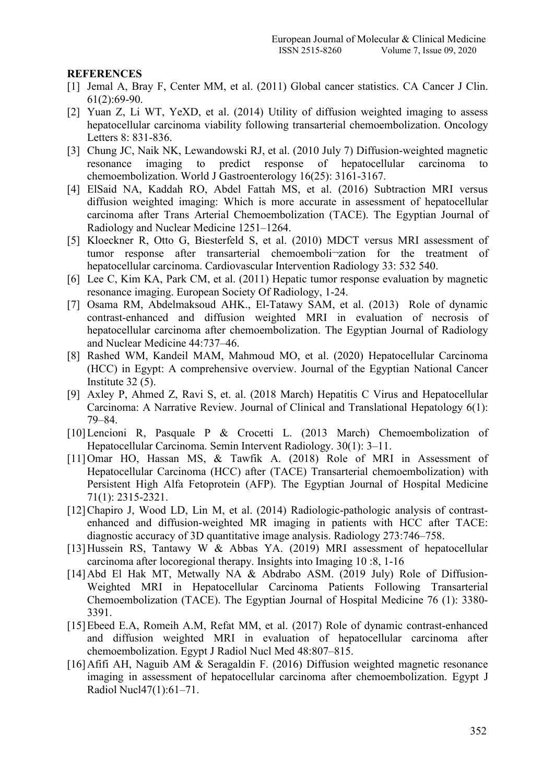## **REFERENCES**

- [1] Jemal A, Bray F, Center MM, et al. (2011) Global cancer statistics. CA Cancer J Clin. 61(2):69-90.
- [2] Yuan Z, Li WT, YeXD, et al. (2014) Utility of diffusion weighted imaging to assess hepatocellular carcinoma viability following transarterial chemoembolization. Oncology Letters 8: 831-836.
- [3] Chung JC, Naik NK, Lewandowski RJ, et al. (2010 July 7) Diffusion-weighted magnetic resonance imaging to predict response of hepatocellular carcinoma to chemoembolization. World J Gastroenterology 16(25): 3161-3167.
- [4] ElSaid NA, Kaddah RO, Abdel Fattah MS, et al. (2016) Subtraction MRI versus diffusion weighted imaging: Which is more accurate in assessment of hepatocellular carcinoma after Trans Arterial Chemoembolization (TACE). The Egyptian Journal of Radiology and Nuclear Medicine 1251–1264.
- [5] Kloeckner R, Otto G, Biesterfeld S, et al. (2010) MDCT versus MRI assessment of tumor response after transarterial chemoemboli¬zation for the treatment of hepatocellular carcinoma. Cardiovascular Intervention Radiology 33: 532 540.
- [6] Lee C, Kim KA, Park CM, et al. (2011) Hepatic tumor response evaluation by magnetic resonance imaging. European Society Of Radiology, 1-24.
- [7] Osama RM, Abdelmaksoud AHK., El-Tatawy SAM, et al. (2013) Role of dynamic contrast-enhanced and diffusion weighted MRI in evaluation of necrosis of hepatocellular carcinoma after chemoembolization. The Egyptian Journal of Radiology and Nuclear Medicine 44:737–46.
- [8] Rashed WM, Kandeil MAM, Mahmoud MO, et al. (2020) Hepatocellular Carcinoma (HCC) in Egypt: A comprehensive overview. Journal of the Egyptian National Cancer Institute 32 (5).
- [9] Axley P, Ahmed Z, Ravi S, et. al. (2018 March) Hepatitis C Virus and Hepatocellular Carcinoma: A Narrative Review. Journal of Clinical and Translational Hepatology 6(1): 79–84.
- [10]Lencioni R, Pasquale P & Crocetti L. (2013 March) Chemoembolization of Hepatocellular Carcinoma. Semin Intervent Radiology. 30(1): 3–11.
- [11]Omar HO, Hassan MS, & Tawfik A. (2018) Role of MRI in Assessment of Hepatocellular Carcinoma (HCC) after (TACE) Transarterial chemoembolization) with Persistent High Alfa Fetoprotein (AFP). The Egyptian Journal of Hospital Medicine 71(1): 2315-2321.
- [12]Chapiro J, Wood LD, Lin M, et al. (2014) Radiologic-pathologic analysis of contrastenhanced and diffusion-weighted MR imaging in patients with HCC after TACE: diagnostic accuracy of 3D quantitative image analysis. Radiology 273:746–758.
- [13] Hussein RS, Tantawy W & Abbas YA. (2019) MRI assessment of hepatocellular carcinoma after locoregional therapy. Insights into Imaging 10 :8, 1-16
- [14] Abd El Hak MT, Metwally NA & Abdrabo ASM. (2019 July) Role of Diffusion-Weighted MRI in Hepatocellular Carcinoma Patients Following Transarterial Chemoembolization (TACE). The Egyptian Journal of Hospital Medicine 76 (1):3380- 3391.
- [15] Ebeed E.A, Romeih A.M, Refat MM, et al. (2017) Role of dynamic contrast-enhanced and diffusion weighted MRI in evaluation of hepatocellular carcinoma after chemoembolization. Egypt J Radiol Nucl Med 48:807–815.
- [16]Afifi AH, Naguib AM & Seragaldin F. (2016) Diffusion weighted magnetic resonance imaging in assessment of hepatocellular carcinoma after chemoembolization. Egypt J Radiol Nucl47(1):61–71.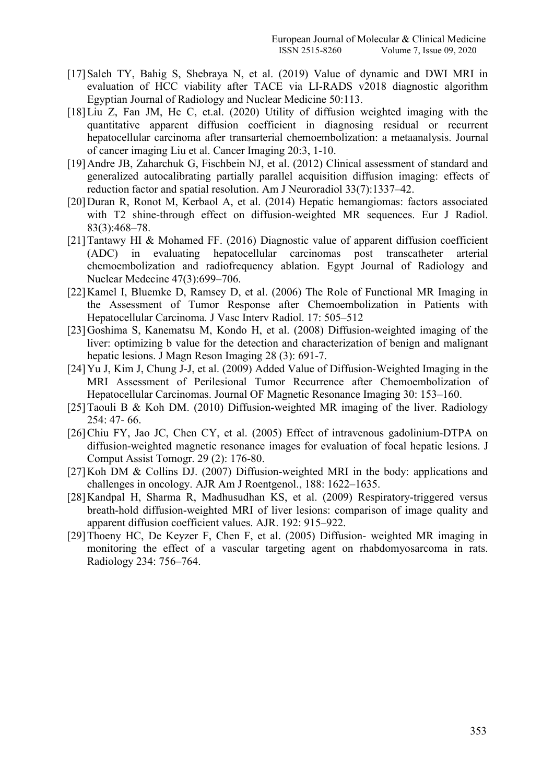- [17] Saleh TY, Bahig S, Shebraya N, et al. (2019) Value of dynamic and DWI MRI in evaluation of HCC viability after TACE via LI-RADS v2018 diagnostic algorithm Egyptian Journal of Radiology and Nuclear Medicine 50:113.
- [18] Liu Z, Fan JM, He C, et.al. (2020) Utility of diffusion weighted imaging with the quantitative apparent diffusion coefficient in diagnosing residual or recurrent hepatocellular carcinoma after transarterial chemoembolization: a metaanalysis. Journal of cancer imaging Liu et al. Cancer Imaging 20:3, 1-10.
- [19]Andre JB, Zaharchuk G, Fischbein NJ, et al. (2012) Clinical assessment of standard and generalized autocalibrating partially parallel acquisition diffusion imaging: effects of reduction factor and spatial resolution. Am J Neuroradiol 33(7):1337–42.
- [20] Duran R, Ronot M, Kerbaol A, et al. (2014) Hepatic hemangiomas: factors associated with T2 shine-through effect on diffusion-weighted MR sequences. Eur J Radiol. 83(3):468–78.
- [21]Tantawy HI & Mohamed FF. (2016) Diagnostic value of apparent diffusion coefficient (ADC) in evaluating hepatocellular carcinomas post transcatheter arterial chemoembolization and radiofrequency ablation. Egypt Journal of Radiology and Nuclear Medecine 47(3):699–706.
- [22]Kamel I, Bluemke D, Ramsey D, et al. (2006) The Role of Functional MR Imaging in the Assessment of Tumor Response after Chemoembolization in Patients with Hepatocellular Carcinoma. J Vasc Interv Radiol. 17: 505–512
- [23]Goshima S, Kanematsu M, Kondo H, et al. (2008) Diffusion-weighted imaging of the liver: optimizing b value for the detection and characterization of benign and malignant hepatic lesions. J Magn Reson Imaging 28 (3): 691-7.
- [24]Yu J, Kim J, Chung J-J, et al. (2009) Added Value of Diffusion-Weighted Imaging in the MRI Assessment of Perilesional Tumor Recurrence after Chemoembolization of Hepatocellular Carcinomas. Journal OF Magnetic Resonance Imaging 30: 153–160.
- [25] Taouli B & Koh DM. (2010) Diffusion-weighted MR imaging of the liver. Radiology 254: 47- 66.
- [26]Chiu FY, Jao JC, Chen CY, et al. (2005) Effect of intravenous gadolinium-DTPA on diffusion-weighted magnetic resonance images for evaluation of focal hepatic lesions. J Comput Assist Tomogr. 29 (2): 176-80.
- $[27]$ Koh DM & Collins DJ. (2007) Diffusion-weighted MRI in the body: applications and challenges in oncology. AJR Am J Roentgenol., 188: 1622–1635.
- [28]Kandpal H, Sharma R, Madhusudhan KS, et al. (2009) Respiratory-triggered versus breath-hold diffusion-weighted MRI of liver lesions: comparison of image quality and apparent diffusion coefficient values. AJR. 192: 915–922.
- [29]Thoeny HC, De Keyzer F, Chen F, et al. (2005) Diffusion- weighted MR imaging in monitoring the effect of <sup>a</sup> vascular targeting agent on rhabdomyosarcoma in rats.Radiology 234: 756–764.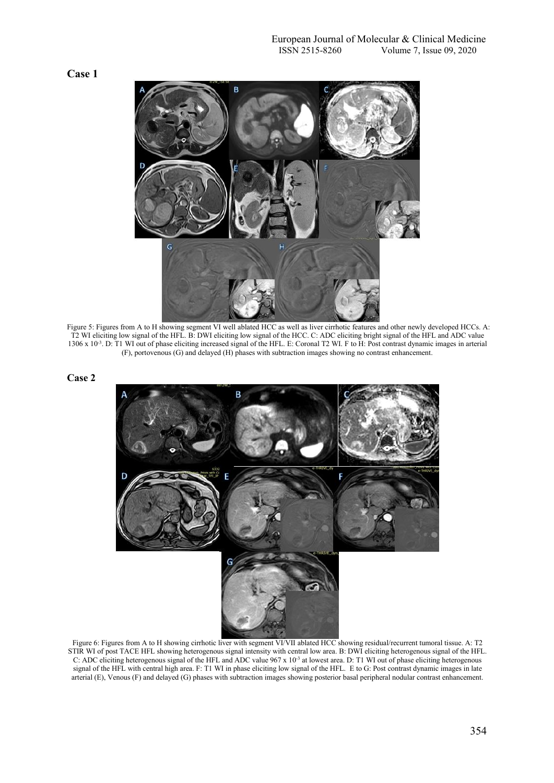



Figure 5: Figures from A to H showing segment VI well ablated HCC as well as liver cirrhotic features and other newly developed HCCs. A: T2 WI eliciting low signal of the HFL. B: DWI eliciting low signal of the HCC. C: ADC 1306 x 10<sup>-3</sup>. D: T1 WI out of phase eliciting increased signal of the HFL. E: Coronal T2 WI. F to H: Post contrast dynamic images in arterial (F), portovenous (G) and delayed (H) phases with subtraction images showing no contrast enhancement.





Figure 6: Figures from Ato H showing cirrhotic liverwith segment VI/VII ablated HCC showing residual/recurrent tumoral tissue. A: T2 STIR WI of post TACE HFL showing heterogenous signal intensity with central low area. B: DWI eliciting heterogenous signal of the HFL. C: ADC eliciting heterogenous signal of the HFL and ADC value 967 x 10<sup>-3</sup> at lowest area. D: T1 WI out of phase eliciting heterogenous signal of the HFL with central high area. F: T1 WI in phase eliciting low signal of the HFL. E to G: Post contrast dynamic images in late arterial (E), Venous (F) and delayed (G) phases with subtraction images showing posterior basal peripheral nodular contrast enhancement.